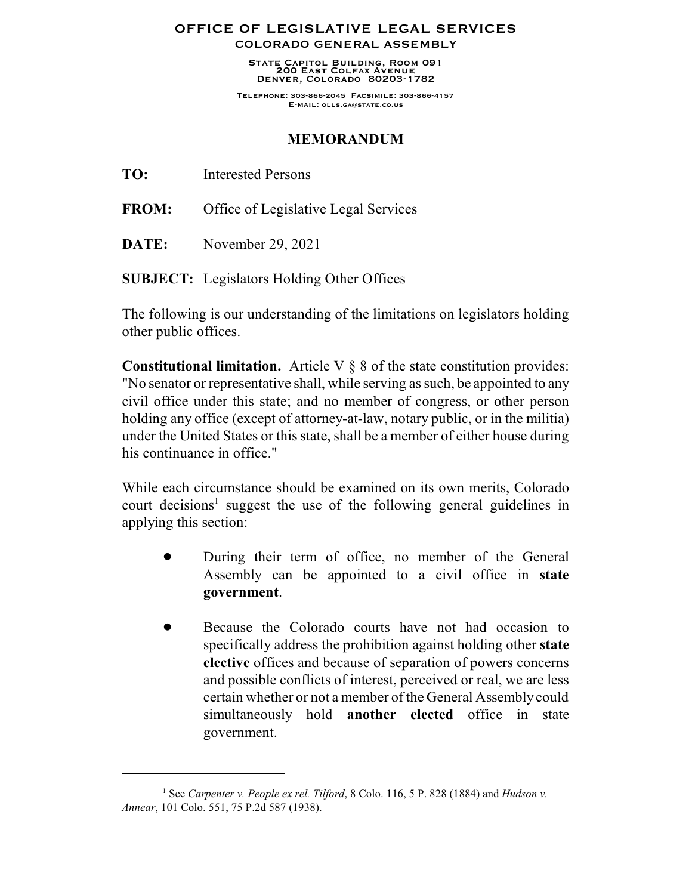## **OFFICE OF LEGISLATIVE LEGAL SERVICES COLORADO GENERAL ASSEMBLY**

**State Capitol Building, Room 091 200 East Colfax Avenue Denver, Colorado 80203-1782**

**Telephone: 303-866-2045 Facsimile: 303-866-4157 E-mail: olls.ga@state.co.us**

## **MEMORANDUM**

**FROM:** Office of Legislative Legal Services

**DATE:** November 29, 2021

**SUBJECT:** Legislators Holding Other Offices

The following is our understanding of the limitations on legislators holding other public offices.

**Constitutional limitation.** Article V § 8 of the state constitution provides: "No senator or representative shall, while serving as such, be appointed to any civil office under this state; and no member of congress, or other person holding any office (except of attorney-at-law, notary public, or in the militia) under the United States or this state, shall be a member of either house during his continuance in office."

While each circumstance should be examined on its own merits, Colorado court decisions 1 suggest the use of the following general guidelines in applying this section:

- During their term of office, no member of the General Assembly can be appointed to a civil office in **state government**.
- Because the Colorado courts have not had occasion to specifically address the prohibition against holding other **state elective** offices and because of separation of powers concerns and possible conflicts of interest, perceived or real, we are less certain whether or not a member of the General Assembly could simultaneously hold **another elected** office in state government.

<sup>1</sup> See *Carpenter v. People ex rel. Tilford*, 8 Colo. 116, 5 P. 828 (1884) and *Hudson v. Annear*, 101 Colo. 551, 75 P.2d 587 (1938).